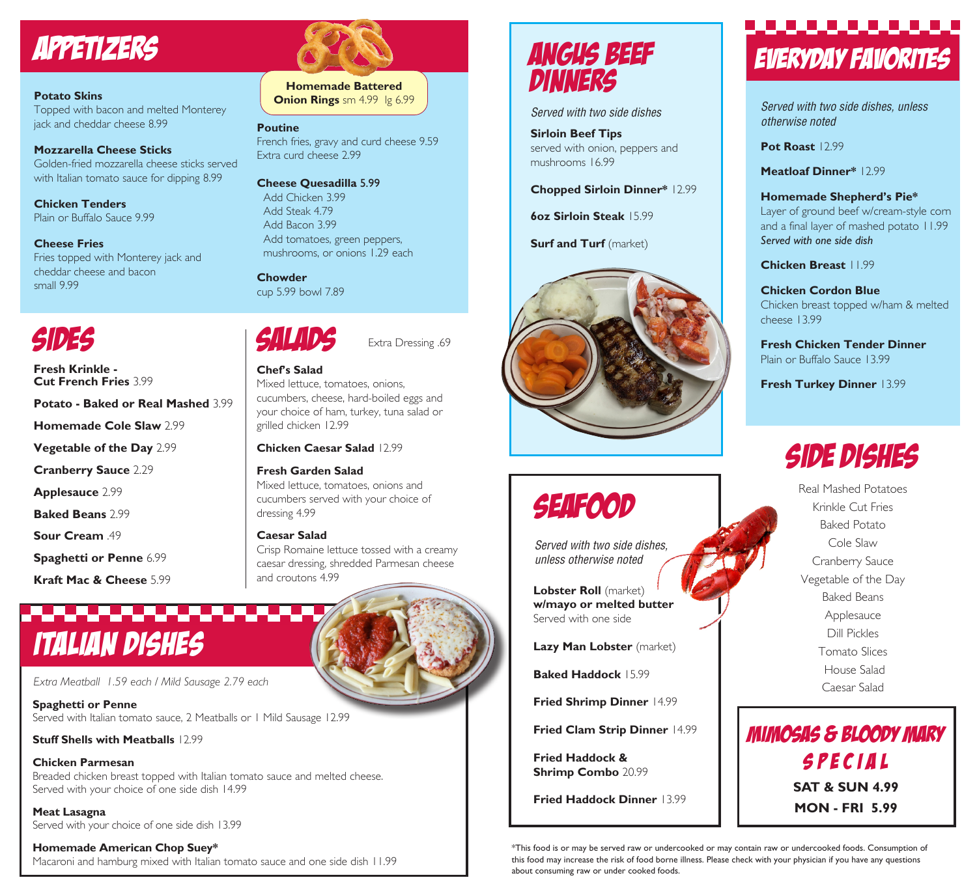# APPETIZERS

#### **Potato Skins**

Topped with bacon and melted Monterey jack and cheddar cheese 8.99

**Mozzarella Cheese Sticks** Golden-fried mozzarella cheese sticks served with Italian tomato sauce for dipping 8.99

**Chicken Tenders** Plain or Buffalo Sauce 9.99

#### **Cheese Fries**

Fries topped with Monterey jack and cheddar cheese and bacon small 9.99

## SIDES

**Fresh Krinkle - Cut French Fries** 3.99

**Potato - Baked or Real Mashed** 3.99

**Homemade Cole Slaw** 2.99

**Vegetable of the Day** 2.99

**Cranberry Sauce** 2.29

**Applesauce** 2.99

**Baked Beans** 2.99

**Sour Cream** .49

**Spaghetti or Penne** 6.99

**Kraft Mac & Cheese** 5.99

## ,,,,,,,,,,,,,,, ITALIAN DISHES

*Extra Meatball 1.59 each / Mild Sausage 2.79 each*

**Spaghetti or Penne** Served with Italian tomato sauce, 2 Meatballs or 1 Mild Sausage 12.99

**Stuff Shells with Meatballs** 12.99

**Chicken Parmesan** Breaded chicken breast topped with Italian tomato sauce and melted cheese. Served with your choice of one side dish 14.99

SALADS

cup 5.99 bowl 7.89

**Chowder** 

**Poutine**

Extra curd cheese 2.99

**Cheese Quesadilla** 5.99 Add Chicken 3.99 Add Steak 4.79 Add Bacon 3.99

 Add tomatoes, green peppers, mushrooms, or onions 1.29 each

**Chef's Salad**

dressing 4.99

**Caesar Salad**

and croutons 4.99

grilled chicken 12.99

**Fresh Garden Salad**

Mixed lettuce, tomatoes, onions,

**Chicken Caesar Salad** 12.99

Mixed lettuce, tomatoes, onions and cucumbers served with your choice of

Crisp Romaine lettuce tossed with a creamy caesar dressing, shredded Parmesan cheese

cucumbers, cheese, hard-boiled eggs and your choice of ham, turkey, tuna salad or

Extra Dressing .69

French fries, gravy and curd cheese 9.59

**Homemade Battered Onion Rings** sm 4.99 lg 6.99

**Meat Lasagna** Served with your choice of one side dish 13.99

**Homemade American Chop Suey\*** Macaroni and hamburg mixed with Italian tomato sauce and one side dish 11.99

## ANGUS BEEF DINNERS

*Served with two side dishes*

**Sirloin Beef Tips**  served with onion, peppers and mushrooms 16.99

**Chopped Sirloin Dinner\*** 12.99

**6oz Sirloin Steak** 15.99

**Surf and Turf** (market)



# SEAFOOD

*Served with two side dishes, unless otherwise noted*

**Lobster Roll** (market) **w/mayo or melted butter** Served with one side

**Lazy Man Lobster** (market)

**Baked Haddock** 15.99

**Fried Shrimp Dinner** 14.99

**Fried Clam Strip Dinner** 14.99

**Fried Haddock & Shrimp Combo** 20.99

**Fried Haddock Dinner** 13.99

## <u>. . . . . . . . . . . .</u> EVERYDAY FAVORITES

*Served with two side dishes, unless otherwise noted*

**Pot Roast** 12.99

**Meatloaf Dinner\*** 12.99

**Homemade Shepherd's Pie\***  Layer of ground beef w/cream-style corn and a final layer of mashed potato 11.99

*Served with one side dish*

**Chicken Breast** 11.99

**Chicken Cordon Blue** Chicken breast topped w/ham & melted cheese 13.99

**Fresh Chicken Tender Dinner**  Plain or Buffalo Sauce 13.99

**Fresh Turkey Dinner** 13.99

# SIDE DISHES

Real Mashed Potatoes Krinkle Cut Fries Baked Potato Cole Slaw Cranberry Sauce Vegetable of the Day Baked Beans Applesauce Dill Pickles Tomato Slices House Salad Caesar Salad

MIMOSAS & BLOODY MARY SPECIAL **SAT & SUN 4.99 MON - FRI 5.99**

\*This food is or may be served raw or undercooked or may contain raw or undercooked foods. Consumption of this food may increase the risk of food borne illness. Please check with your physician if you have any questions about consuming raw or under cooked foods.